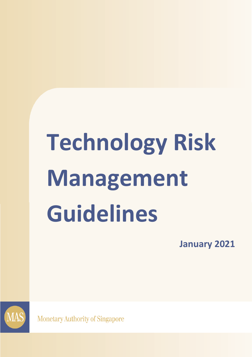# **Technology Risk Management Guidelines**

**January 2021**



**Monetary Authority of Singapore**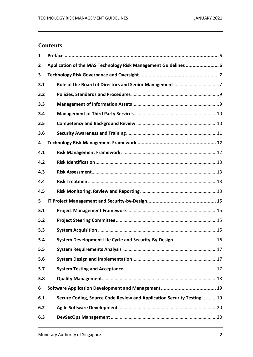# **Contents**

| 1   |                                                                       |
|-----|-----------------------------------------------------------------------|
| 2   | Application of the MAS Technology Risk Management Guidelines  6       |
| 3   |                                                                       |
| 3.1 |                                                                       |
| 3.2 |                                                                       |
| 3.3 |                                                                       |
| 3.4 |                                                                       |
| 3.5 |                                                                       |
| 3.6 |                                                                       |
| 4   |                                                                       |
| 4.1 |                                                                       |
| 4.2 |                                                                       |
| 4.3 |                                                                       |
| 4.4 |                                                                       |
| 4.5 |                                                                       |
| 5   |                                                                       |
| 5.1 |                                                                       |
| 5.2 |                                                                       |
| 5.3 |                                                                       |
| 5.4 | System Development Life Cycle and Security-By-Design 16               |
| 5.5 |                                                                       |
| 5.6 |                                                                       |
| 5.7 |                                                                       |
| 5.8 |                                                                       |
| 6   |                                                                       |
| 6.1 | Secure Coding, Source Code Review and Application Security Testing 19 |
| 6.2 |                                                                       |
| 6.3 |                                                                       |

 $\overline{\phantom{a}}$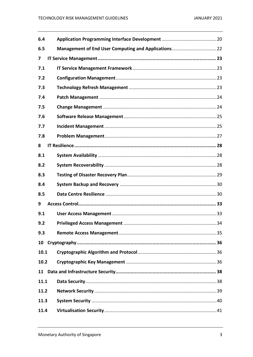| 6.4  |  |
|------|--|
| 6.5  |  |
| 7    |  |
| 7.1  |  |
| 7.2  |  |
| 7.3  |  |
| 7.4  |  |
| 7.5  |  |
| 7.6  |  |
| 7.7  |  |
| 7.8  |  |
| 8    |  |
| 8.1  |  |
| 8.2  |  |
| 8.3  |  |
| 8.4  |  |
| 8.5  |  |
| 9    |  |
| 9.1  |  |
| 9.2  |  |
| 9.3  |  |
| 10   |  |
| 10.1 |  |
| 10.2 |  |
|      |  |
| 11.1 |  |
| 11.2 |  |
| 11.3 |  |
| 11.4 |  |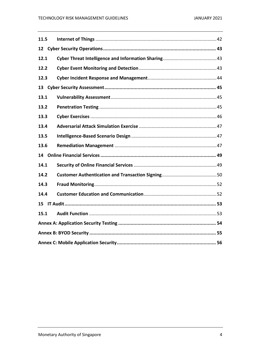| 11.5 |  |  |  |  |
|------|--|--|--|--|
|      |  |  |  |  |
| 12.1 |  |  |  |  |
| 12.2 |  |  |  |  |
| 12.3 |  |  |  |  |
|      |  |  |  |  |
| 13.1 |  |  |  |  |
| 13.2 |  |  |  |  |
| 13.3 |  |  |  |  |
| 13.4 |  |  |  |  |
| 13.5 |  |  |  |  |
| 13.6 |  |  |  |  |
|      |  |  |  |  |
| 14.1 |  |  |  |  |
| 14.2 |  |  |  |  |
| 14.3 |  |  |  |  |
| 14.4 |  |  |  |  |
| 15   |  |  |  |  |
| 15.1 |  |  |  |  |
|      |  |  |  |  |
|      |  |  |  |  |
|      |  |  |  |  |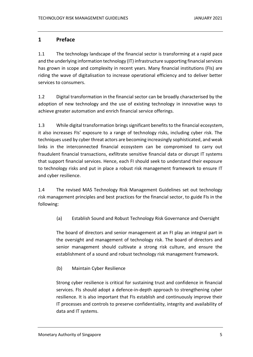# <span id="page-4-0"></span>**1 Preface**

1.1 The technology landscape of the financial sector is transforming at a rapid pace and the underlying information technology (IT) infrastructure supporting financial services has grown in scope and complexity in recent years. Many financial institutions (FIs) are riding the wave of digitalisation to increase operational efficiency and to deliver better services to consumers.

1.2 Digital transformation in the financial sector can be broadly characterised by the adoption of new technology and the use of existing technology in innovative ways to achieve greater automation and enrich financial service offerings.

1.3 While digital transformation brings significant benefits to the financial ecosystem, it also increases FIs' exposure to a range of technology risks, including cyber risk. The techniques used by cyber threat actors are becoming increasingly sophisticated, and weak links in the interconnected financial ecosystem can be compromised to carry out fraudulent financial transactions, exfiltrate sensitive financial data or disrupt IT systems that support financial services. Hence, each FI should seek to understand their exposure to technology risks and put in place a robust risk management framework to ensure IT and cyber resilience.

1.4 The revised MAS Technology Risk Management Guidelines set out technology risk management principles and best practices for the financial sector, to guide FIs in the following:

(a) Establish Sound and Robust Technology Risk Governance and Oversight

The board of directors and senior management at an FI play an integral part in the oversight and management of technology risk. The board of directors and senior management should cultivate a strong risk culture, and ensure the establishment of a sound and robust technology risk management framework.

(b) Maintain Cyber Resilience

Strong cyber resilience is critical for sustaining trust and confidence in financial services. FIs should adopt a defence-in-depth approach to strengthening cyber resilience. It is also important that FIs establish and continuously improve their IT processes and controls to preserve confidentiality, integrity and availability of data and IT systems.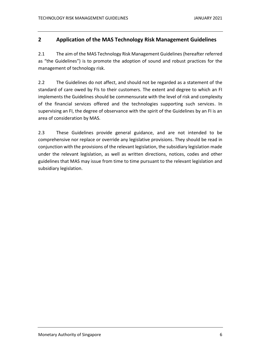# <span id="page-5-0"></span>**2 Application of the MAS Technology Risk Management Guidelines**

2.1 The aim of the MAS Technology Risk Management Guidelines (hereafter referred as "the Guidelines") is to promote the adoption of sound and robust practices for the management of technology risk.

2.2 The Guidelines do not affect, and should not be regarded as a statement of the standard of care owed by FIs to their customers. The extent and degree to which an FI implements the Guidelines should be commensurate with the level of risk and complexity of the financial services offered and the technologies supporting such services. In supervising an FI, the degree of observance with the spirit of the Guidelines by an FI is an area of consideration by MAS.

2.3 These Guidelines provide general guidance, and are not intended to be comprehensive nor replace or override any legislative provisions. They should be read in conjunction with the provisions of the relevant legislation, the subsidiary legislation made under the relevant legislation, as well as written directions, notices, codes and other guidelines that MAS may issue from time to time pursuant to the relevant legislation and subsidiary legislation.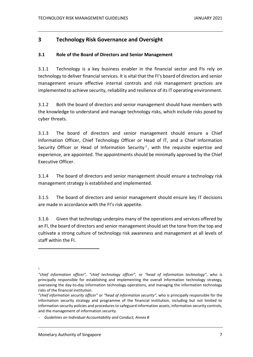# <span id="page-6-0"></span>**3 Technology Risk Governance and Oversight**

### <span id="page-6-1"></span>**3.1 Role of the Board of Directors and Senior Management**

3.1.1 Technology is a key business enabler in the financial sector and FIs rely on technology to deliver financial services. It is vital that the FI's board of directors and senior management ensure effective internal controls and risk management practices are implemented to achieve security, reliability and resilience of its IT operating environment.

3.1.2 Both the board of directors and senior management should have members with the knowledge to understand and manage technology risks, which include risks posed by cyber threats.

3.1.3 The board of directors and senior management should ensure a Chief Information Officer, Chief Technology Officer or Head of IT, and a Chief Information Security Officer or Head of Information Security<sup>1</sup>, with the requisite expertise and experience, are appointed. The appointments should be minimally approved by the Chief Executive Officer.

3.1.4 The board of directors and senior management should ensure a technology risk management strategy is established and implemented.

3.1.5 The board of directors and senior management should ensure key IT decisions are made in accordance with the FI's risk appetite.

3.1.6 Given that technology underpins many of the operations and services offered by an FI, the board of directors and senior management should set the tone from the top and cultivate a strong culture of technology risk awareness and management at all levels of staff within the FI.

1

*<sup>&</sup>quot;chief information officer", "chief technology officer",* or *"head of information technology"*, who is principally responsible for establishing and implementing the overall information technology strategy, overseeing the day-to-day information technology operations, and managing the information technology risks of the financial institution.

*<sup>&</sup>quot;chief information security officer"* or *"head of information security"*, who is principally responsible for the information security strategy and programme of the financial institution, including but not limited to information security policies and procedures to safeguard information assets, information security controls, and the management of information security.

*<sup>-</sup> Guidelines on Individual Accountability and Conduct, Annex B*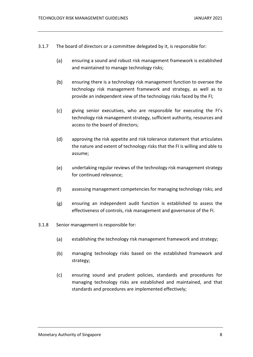- 3.1.7 The board of directors or a committee delegated by it, is responsible for:
	- $(a)$ ensuring a sound and robust risk management framework is established and maintained to manage technology risks;
	- $(b)$ ensuring there is a technology risk management function to oversee the technology risk management framework and strategy, as well as to provide an independent view of the technology risks faced by the FI;
	- $(c)$ giving senior executives, who are responsible for executing the FI's technology risk management strategy, sufficient authority, resources and access to the board of directors;
	- $(d)$ approving the risk appetite and risk tolerance statement that articulates the nature and extent of technology risks that the FI is willing and able to assume;
	- $(e)$ undertaking regular reviews of the technology risk management strategy for continued relevance;
	- $(f)$ assessing management competencies for managing technology risks; and
	- $(g)$ ensuring an independent audit function is established to assess the effectiveness of controls, risk management and governance of the FI.
- 3.1.8 Senior management is responsible for:
	- $(a)$ establishing the technology risk management framework and strategy;
	- $(b)$ managing technology risks based on the established framework and strategy;
	- $(c)$ ensuring sound and prudent policies, standards and procedures for managing technology risks are established and maintained, and that standards and procedures are implemented effectively;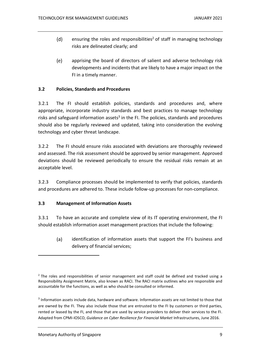- $(d)$ ensuring the roles and responsibilities<sup>2</sup> of staff in managing technology risks are delineated clearly; and
- $(e)$ apprising the board of directors of salient and adverse technology risk developments and incidents that are likely to have a major impact on the FI in a timely manner.

### <span id="page-8-0"></span>**3.2 Policies, Standards and Procedures**

3.2.1 The FI should establish policies, standards and procedures and, where appropriate, incorporate industry standards and best practices to manage technology risks and safeguard information assets<sup>3</sup> in the FI. The policies, standards and procedures should also be regularly reviewed and updated, taking into consideration the evolving technology and cyber threat landscape.

3.2.2 The FI should ensure risks associated with deviations are thoroughly reviewed and assessed. The risk assessment should be approved by senior management. Approved deviations should be reviewed periodically to ensure the residual risks remain at an acceptable level.

3.2.3 Compliance processes should be implemented to verify that policies, standards and procedures are adhered to. These include follow-up processes for non-compliance.

### <span id="page-8-1"></span>**3.3 Management of Information Assets**

3.3.1 To have an accurate and complete view of its IT operating environment, the FI should establish information asset management practices that include the following:

 $(a)$ identification of information assets that support the FI's business and delivery of financial services;

 $<sup>2</sup>$  The roles and responsibilities of senior management and staff could be defined and tracked using a</sup> Responsibility Assignment Matrix, also known as RACI. The RACI matrix outlines who are responsible and accountable for the functions, as well as who should be consulted or informed.

<sup>&</sup>lt;sup>3</sup> Information assets include data, hardware and software. Information assets are not limited to those that are owned by the FI. They also include those that are entrusted to the FI by customers or third parties, rented or leased by the FI, and those that are used by service providers to deliver their services to the FI. Adapted from CPMI-IOSCO, *Guidance on Cyber Resilience for Financial Market* Infrastructures, June 2016.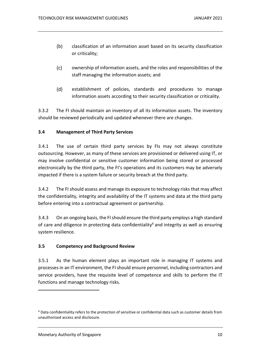- $(b)$ classification of an information asset based on its security classification or criticality;
- $(c)$ ownership of information assets, and the roles and responsibilities of the staff managing the information assets; and
- $(d)$ establishment of policies, standards and procedures to manage information assets according to their security classification or criticality.

3.3.2 The FI should maintain an inventory of all its information assets. The inventory should be reviewed periodically and updated whenever there are changes.

### <span id="page-9-0"></span>**3.4 Management of Third Party Services**

3.4.1 The use of certain third party services by FIs may not always constitute outsourcing. However, as many of these services are provisioned or delivered using IT, or may involve confidential or sensitive customer information being stored or processed electronically by the third party, the FI's operations and its customers may be adversely impacted if there is a system failure or security breach at the third party.

3.4.2 The FI should assess and manage its exposure to technology risks that may affect the confidentiality, integrity and availability of the IT systems and data at the third party before entering into a contractual agreement or partnership.

3.4.3 On an ongoing basis, the FI should ensure the third party employs a high standard of care and diligence in protecting data confidentiality<sup>4</sup> and integrity as well as ensuring system resilience.

### <span id="page-9-1"></span>**3.5 Competency and Background Review**

3.5.1 As the human element plays an important role in managing IT systems and processes in an IT environment, the FI should ensure personnel, including contractors and service providers, have the requisite level of competence and skills to perform the IT functions and manage technology risks.

<sup>4</sup> Data confidentiality refers to the protection of sensitive or confidential data such as customer details from unauthorised access and disclosure.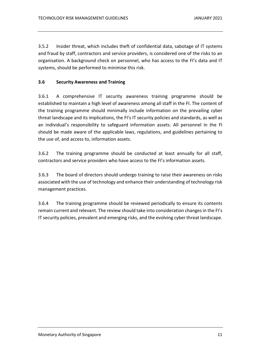3.5.2 Insider threat, which includes theft of confidential data, sabotage of IT systems and fraud by staff, contractors and service providers, is considered one of the risks to an organisation. A background check on personnel, who has access to the FI's data and IT systems, should be performed to minimise this risk.

### <span id="page-10-0"></span>**3.6 Security Awareness and Training**

3.6.1 A comprehensive IT security awareness training programme should be established to maintain a high level of awareness among all staff in the FI. The content of the training programme should minimally include information on the prevailing cyber threat landscape and its implications, the FI's IT security policies and standards, as well as an individual's responsibility to safeguard information assets. All personnel in the FI should be made aware of the applicable laws, regulations, and guidelines pertaining to the use of, and access to, information assets.

3.6.2 The training programme should be conducted at least annually for all staff, contractors and service providers who have access to the FI's information assets.

3.6.3 The board of directors should undergo training to raise their awareness on risks associated with the use of technology and enhance their understanding of technology risk management practices.

3.6.4 The training programme should be reviewed periodically to ensure its contents remain current and relevant. The review should take into consideration changes in the FI's IT security policies, prevalent and emerging risks, and the evolving cyber threat landscape.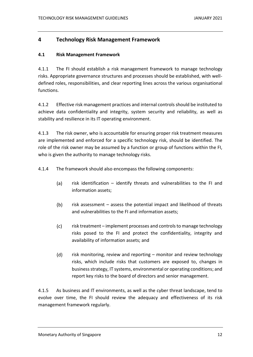# <span id="page-11-0"></span>**4 Technology Risk Management Framework**

### <span id="page-11-1"></span>**4.1 Risk Management Framework**

4.1.1 The FI should establish a risk management framework to manage technology risks. Appropriate governance structures and processes should be established, with welldefined roles, responsibilities, and clear reporting lines across the various organisational functions.

4.1.2 Effective risk management practices and internal controls should be instituted to achieve data confidentiality and integrity, system security and reliability, as well as stability and resilience in its IT operating environment.

4.1.3 The risk owner, who is accountable for ensuring proper risk treatment measures are implemented and enforced for a specific technology risk, should be identified. The role of the risk owner may be assumed by a function or group of functions within the FI, who is given the authority to manage technology risks.

4.1.4 The framework should also encompass the following components:

- $(a)$ risk identification – identify threats and vulnerabilities to the FI and information assets;
- $(b)$ risk assessment – assess the potential impact and likelihood of threats and vulnerabilities to the FI and information assets;
- $(c)$ risk treatment – implement processes and controls to manage technology risks posed to the FI and protect the confidentiality, integrity and availability of information assets; and
- $(d)$ risk monitoring, review and reporting – monitor and review technology risks, which include risks that customers are exposed to, changes in business strategy, IT systems, environmental or operating conditions; and report key risks to the board of directors and senior management.

4.1.5 As business and IT environments, as well as the cyber threat landscape, tend to evolve over time, the FI should review the adequacy and effectiveness of its risk management framework regularly.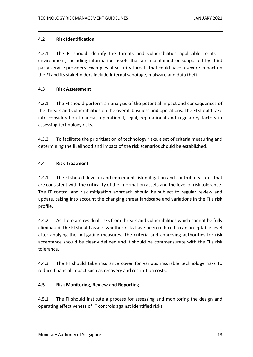### <span id="page-12-0"></span>**4.2 Risk Identification**

4.2.1 The FI should identify the threats and vulnerabilities applicable to its IT environment, including information assets that are maintained or supported by third party service providers. Examples of security threats that could have a severe impact on the FI and its stakeholders include internal sabotage, malware and data theft.

### <span id="page-12-1"></span>**4.3 Risk Assessment**

4.3.1 The FI should perform an analysis of the potential impact and consequences of the threats and vulnerabilities on the overall business and operations. The FI should take into consideration financial, operational, legal, reputational and regulatory factors in assessing technology risks.

4.3.2 To facilitate the prioritisation of technology risks, a set of criteria measuring and determining the likelihood and impact of the risk scenarios should be established.

### <span id="page-12-2"></span>**4.4 Risk Treatment**

4.4.1 The FI should develop and implement risk mitigation and control measures that are consistent with the criticality of the information assets and the level of risk tolerance. The IT control and risk mitigation approach should be subject to regular review and update, taking into account the changing threat landscape and variations in the FI's risk profile.

4.4.2 As there are residual risks from threats and vulnerabilities which cannot be fully eliminated, the FI should assess whether risks have been reduced to an acceptable level after applying the mitigating measures. The criteria and approving authorities for risk acceptance should be clearly defined and it should be commensurate with the FI's risk tolerance.

4.4.3 The FI should take insurance cover for various insurable technology risks to reduce financial impact such as recovery and restitution costs.

### <span id="page-12-3"></span>**4.5 Risk Monitoring, Review and Reporting**

4.5.1 The FI should institute a process for assessing and monitoring the design and operating effectiveness of IT controls against identified risks.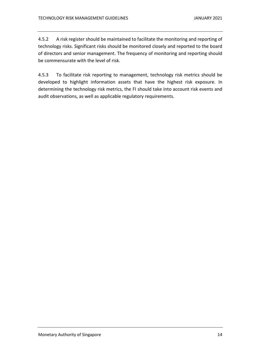4.5.2 A risk register should be maintained to facilitate the monitoring and reporting of technology risks. Significant risks should be monitored closely and reported to the board of directors and senior management. The frequency of monitoring and reporting should be commensurate with the level of risk.

4.5.3 To facilitate risk reporting to management, technology risk metrics should be developed to highlight information assets that have the highest risk exposure. In determining the technology risk metrics, the FI should take into account risk events and audit observations, as well as applicable regulatory requirements.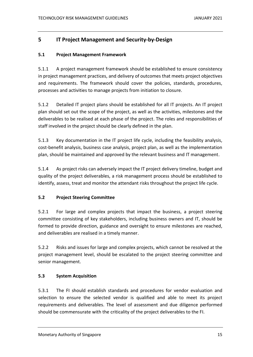# <span id="page-14-0"></span>**5 IT Project Management and Security-by-Design**

### <span id="page-14-1"></span>**5.1 Project Management Framework**

5.1.1 A project management framework should be established to ensure consistency in project management practices, and delivery of outcomes that meets project objectives and requirements. The framework should cover the policies, standards, procedures, processes and activities to manage projects from initiation to closure.

5.1.2 Detailed IT project plans should be established for all IT projects. An IT project plan should set out the scope of the project, as well as the activities, milestones and the deliverables to be realised at each phase of the project. The roles and responsibilities of staff involved in the project should be clearly defined in the plan.

5.1.3 Key documentation in the IT project life cycle, including the feasibility analysis, cost-benefit analysis, business case analysis, project plan, as well as the implementation plan, should be maintained and approved by the relevant business and IT management.

5.1.4 As project risks can adversely impact the IT project delivery timeline, budget and quality of the project deliverables, a risk management process should be established to identify, assess, treat and monitor the attendant risks throughout the project life cycle.

### <span id="page-14-2"></span>**5.2 Project Steering Committee**

5.2.1 For large and complex projects that impact the business, a project steering committee consisting of key stakeholders, including business owners and IT, should be formed to provide direction, guidance and oversight to ensure milestones are reached, and deliverables are realised in a timely manner.

5.2.2 Risks and issues for large and complex projects, which cannot be resolved at the project management level, should be escalated to the project steering committee and senior management.

### <span id="page-14-3"></span>**5.3 System Acquisition**

5.3.1 The FI should establish standards and procedures for vendor evaluation and selection to ensure the selected vendor is qualified and able to meet its project requirements and deliverables. The level of assessment and due diligence performed should be commensurate with the criticality of the project deliverables to the FI.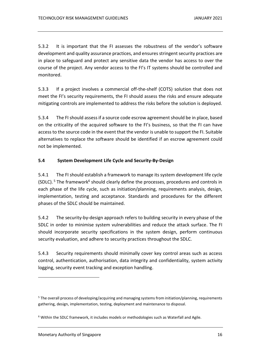5.3.2 It is important that the FI assesses the robustness of the vendor's software development and quality assurance practices, and ensures stringent security practices are in place to safeguard and protect any sensitive data the vendor has access to over the course of the project. Any vendor access to the FI's IT systems should be controlled and monitored.

5.3.3 If a project involves a commercial off-the-shelf (COTS) solution that does not meet the FI's security requirements, the FI should assess the risks and ensure adequate mitigating controls are implemented to address the risks before the solution is deployed.

5.3.4 The FI should assess if a source code escrow agreement should be in place, based on the criticality of the acquired software to the FI's business, so that the FI can have access to the source code in the event that the vendor is unable to support the FI. Suitable alternatives to replace the software should be identified if an escrow agreement could not be implemented.

### <span id="page-15-0"></span>**5.4 System Development Life Cycle and Security-By-Design**

5.4.1 The FI should establish a framework to manage its system development life cycle (SDLC).<sup>5</sup> The framework<sup>6</sup> should clearly define the processes, procedures and controls in each phase of the life cycle, such as initiation/planning, requirements analysis, design, implementation, testing and acceptance. Standards and procedures for the different phases of the SDLC should be maintained.

5.4.2 The security-by-design approach refers to building security in every phase of the SDLC in order to minimise system vulnerabilities and reduce the attack surface. The FI should incorporate security specifications in the system design, perform continuous security evaluation, and adhere to security practices throughout the SDLC.

5.4.3 Security requirements should minimally cover key control areas such as access control, authentication, authorisation, data integrity and confidentiality, system activity logging, security event tracking and exception handling.

<sup>5</sup> The overall process of developing/acquiring and managing systems from initiation/planning, requirements gathering, design, implementation, testing, deployment and maintenance to disposal.

<sup>&</sup>lt;sup>6</sup> Within the SDLC framework, it includes models or methodologies such as Waterfall and Agile.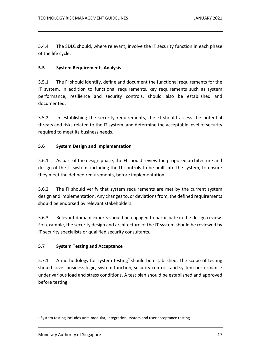5.4.4 The SDLC should, where relevant, involve the IT security function in each phase of the life cycle.

### <span id="page-16-0"></span>**5.5 System Requirements Analysis**

5.5.1 The FI should identify, define and document the functional requirements for the IT system. In addition to functional requirements, key requirements such as system performance, resilience and security controls, should also be established and documented.

5.5.2 In establishing the security requirements, the FI should assess the potential threats and risks related to the IT system, and determine the acceptable level of security required to meet its business needs.

### <span id="page-16-1"></span>**5.6 System Design and Implementation**

5.6.1 As part of the design phase, the FI should review the proposed architecture and design of the IT system, including the IT controls to be built into the system, to ensure they meet the defined requirements, before implementation.

5.6.2 The FI should verify that system requirements are met by the current system design and implementation. Any changes to, or deviations from, the defined requirements should be endorsed by relevant stakeholders.

5.6.3 Relevant domain experts should be engaged to participate in the design review. For example, the security design and architecture of the IT system should be reviewed by IT security specialists or qualified security consultants.

# <span id="page-16-2"></span>**5.7 System Testing and Acceptance**

5.7.1 A methodology for system testing<sup>7</sup> should be established. The scope of testing should cover business logic, system function, security controls and system performance under various load and stress conditions. A test plan should be established and approved before testing.

<sup>&</sup>lt;sup>7</sup> System testing includes unit, modular, integration, system and user acceptance testing.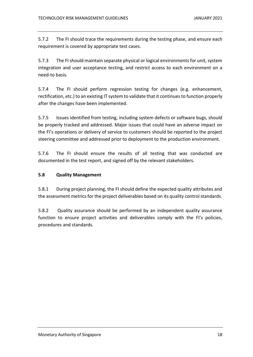5.7.2 The FI should trace the requirements during the testing phase, and ensure each requirement is covered by appropriate test cases.

5.7.3 The FI should maintain separate physical or logical environments for unit, system integration and user acceptance testing, and restrict access to each environment on a need-to basis.

5.7.4 The FI should perform regression testing for changes (e.g. enhancement, rectification, etc.) to an existing IT system to validate that it continues to function properly after the changes have been implemented.

5.7.5 Issues identified from testing, including system defects or software bugs, should be properly tracked and addressed. Major issues that could have an adverse impact on the FI's operations or delivery of service to customers should be reported to the project steering committee and addressed prior to deployment to the production environment.

5.7.6 The FI should ensure the results of all testing that was conducted are documented in the test report, and signed off by the relevant stakeholders.

### <span id="page-17-0"></span>**5.8 Quality Management**

5.8.1 During project planning, the FI should define the expected quality attributes and the assessment metrics for the project deliverables based on its quality control standards.

5.8.2 Quality assurance should be performed by an independent quality assurance function to ensure project activities and deliverables comply with the FI's policies, procedures and standards.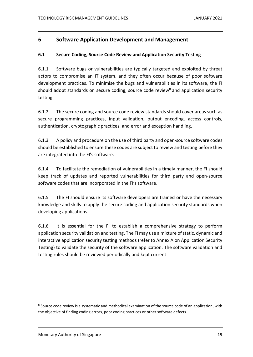# <span id="page-18-0"></span>**6 Software Application Development and Management**

### <span id="page-18-1"></span>**6.1 Secure Coding, Source Code Review and Application Security Testing**

6.1.1 Software bugs or vulnerabilities are typically targeted and exploited by threat actors to compromise an IT system, and they often occur because of poor software development practices. To minimise the bugs and vulnerabilities in its software, the FI should adopt standards on secure coding, source code review<sup>8</sup> and application security testing.

6.1.2 The secure coding and source code review standards should cover areas such as secure programming practices, input validation, output encoding, access controls, authentication, cryptographic practices, and error and exception handling.

6.1.3 A policy and procedure on the use of third party and open-source software codes should be established to ensure these codes are subject to review and testing before they are integrated into the FI's software.

6.1.4 To facilitate the remediation of vulnerabilities in a timely manner, the FI should keep track of updates and reported vulnerabilities for third party and open-source software codes that are incorporated in the FI's software.

6.1.5 The FI should ensure its software developers are trained or have the necessary knowledge and skills to apply the secure coding and application security standards when developing applications.

6.1.6 It is essential for the FI to establish a comprehensive strategy to perform application security validation and testing. The FI may use a mixture of static, dynamic and interactive application security testing methods (refer to Annex A on Application Security Testing) to validate the security of the software application. The software validation and testing rules should be reviewed periodically and kept current.

<sup>&</sup>lt;sup>8</sup> Source code review is a systematic and methodical examination of the source code of an application, with the objective of finding coding errors, poor coding practices or other software defects.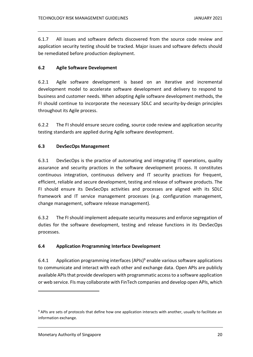6.1.7 All issues and software defects discovered from the source code review and application security testing should be tracked. Major issues and software defects should be remediated before production deployment.

### <span id="page-19-0"></span>**6.2 Agile Software Development**

6.2.1 Agile software development is based on an iterative and incremental development model to accelerate software development and delivery to respond to business and customer needs. When adopting Agile software development methods, the FI should continue to incorporate the necessary SDLC and security-by-design principles throughout its Agile process.

6.2.2 The FI should ensure secure coding, source code review and application security testing standards are applied during Agile software development.

### <span id="page-19-1"></span>**6.3 DevSecOps Management**

6.3.1 DevSecOps is the practice of automating and integrating IT operations, quality assurance and security practices in the software development process. It constitutes continuous integration, continuous delivery and IT security practices for frequent, efficient, reliable and secure development, testing and release of software products. The FI should ensure its DevSecOps activities and processes are aligned with its SDLC framework and IT service management processes (e.g. configuration management, change management, software release management).

6.3.2 The FI should implement adequate security measures and enforce segregation of duties for the software development, testing and release functions in its DevSecOps processes.

### <span id="page-19-2"></span>**6.4 Application Programming Interface Development**

6.4.1 Application programming interfaces (APIs)<sup>9</sup> enable various software applications to communicate and interact with each other and exchange data. Open APIs are publicly available APIs that provide developers with programmatic access to a software application or web service. FIs may collaborate with FinTech companies and develop open APIs, which

<sup>&</sup>lt;sup>9</sup> APIs are sets of protocols that define how one application interacts with another, usually to facilitate an information exchange.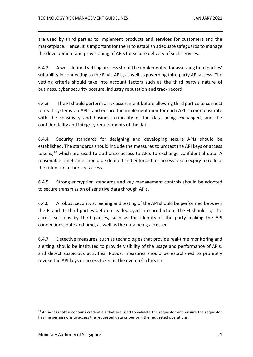are used by third parties to implement products and services for customers and the marketplace. Hence, it is important for the FI to establish adequate safeguards to manage the development and provisioning of APIs for secure delivery of such services.

6.4.2 A well-defined vetting process should be implemented for assessing third parties' suitability in connecting to the FI via APIs, as well as governing third party API access. The vetting criteria should take into account factors such as the third party's nature of business, cyber security posture, industry reputation and track record.

6.4.3 The FI should perform a risk assessment before allowing third parties to connect to its IT systems via APIs, and ensure the implementation for each API is commensurate with the sensitivity and business criticality of the data being exchanged, and the confidentiality and integrity requirements of the data.

6.4.4 Security standards for designing and developing secure APIs should be established. The standards should include the measures to protect the API keys or access tokens, <sup>10</sup> which are used to authorise access to APIs to exchange confidential data. A reasonable timeframe should be defined and enforced for access token expiry to reduce the risk of unauthorised access.

6.4.5 Strong encryption standards and key management controls should be adopted to secure transmission of sensitive data through APIs.

6.4.6 A robust security screening and testing of the API should be performed between the FI and its third parties before it is deployed into production. The FI should log the access sessions by third parties, such as the identity of the party making the API connections, date and time, as well as the data being accessed.

6.4.7 Detective measures, such as technologies that provide real-time monitoring and alerting, should be instituted to provide visibility of the usage and performance of APIs, and detect suspicious activities. Robust measures should be established to promptly revoke the API keys or access token in the event of a breach.

 $10$  An access token contains credentials that are used to validate the requestor and ensure the requestor has the permissions to access the requested data or perform the requested operations.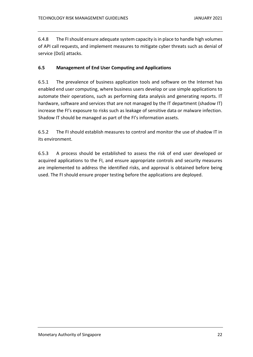6.4.8 The FI should ensure adequate system capacity is in place to handle high volumes of API call requests, and implement measures to mitigate cyber threats such as denial of service (DoS) attacks.

### <span id="page-21-0"></span>**6.5 Management of End User Computing and Applications**

6.5.1 The prevalence of business application tools and software on the Internet has enabled end user computing, where business users develop or use simple applications to automate their operations, such as performing data analysis and generating reports. IT hardware, software and services that are not managed by the IT department (shadow IT) increase the FI's exposure to risks such as leakage of sensitive data or malware infection. Shadow IT should be managed as part of the FI's information assets.

6.5.2 The FI should establish measures to control and monitor the use of shadow IT in its environment.

6.5.3 A process should be established to assess the risk of end user developed or acquired applications to the FI, and ensure appropriate controls and security measures are implemented to address the identified risks, and approval is obtained before being used. The FI should ensure proper testing before the applications are deployed.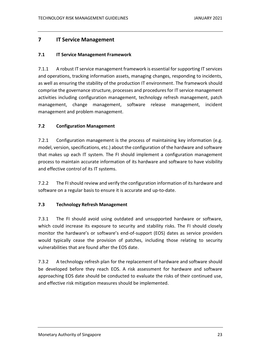# <span id="page-22-0"></span>**7 IT Service Management**

### <span id="page-22-1"></span>**7.1 IT Service Management Framework**

7.1.1 A robust IT service management framework is essential for supporting IT services and operations, tracking information assets, managing changes, responding to incidents, as well as ensuring the stability of the production IT environment. The framework should comprise the governance structure, processes and procedures for IT service management activities including configuration management, technology refresh management, patch management, change management, software release management, incident management and problem management.

### <span id="page-22-2"></span>**7.2 Configuration Management**

7.2.1 Configuration management is the process of maintaining key information (e.g. model, version, specifications, etc.) about the configuration of the hardware and software that makes up each IT system. The FI should implement a configuration management process to maintain accurate information of its hardware and software to have visibility and effective control of its IT systems.

7.2.2 The FI should review and verify the configuration information of its hardware and software on a regular basis to ensure it is accurate and up-to-date.

### <span id="page-22-3"></span>**7.3 Technology Refresh Management**

7.3.1 The FI should avoid using outdated and unsupported hardware or software, which could increase its exposure to security and stability risks. The FI should closely monitor the hardware's or software's end-of-support (EOS) dates as service providers would typically cease the provision of patches, including those relating to security vulnerabilities that are found after the EOS date.

7.3.2 A technology refresh plan for the replacement of hardware and software should be developed before they reach EOS. A risk assessment for hardware and software approaching EOS date should be conducted to evaluate the risks of their continued use, and effective risk mitigation measures should be implemented.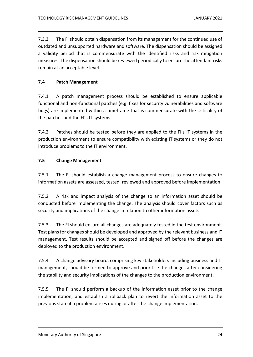7.3.3 The FI should obtain dispensation from its management for the continued use of outdated and unsupported hardware and software. The dispensation should be assigned a validity period that is commensurate with the identified risks and risk mitigation measures. The dispensation should be reviewed periodically to ensure the attendant risks remain at an acceptable level.

# <span id="page-23-0"></span>**7.4 Patch Management**

7.4.1 A patch management process should be established to ensure applicable functional and non-functional patches (e.g. fixes for security vulnerabilities and software bugs) are implemented within a timeframe that is commensurate with the criticality of the patches and the FI's IT systems.

7.4.2 Patches should be tested before they are applied to the FI's IT systems in the production environment to ensure compatibility with existing IT systems or they do not introduce problems to the IT environment.

# <span id="page-23-1"></span>**7.5 Change Management**

7.5.1 The FI should establish a change management process to ensure changes to information assets are assessed, tested, reviewed and approved before implementation.

7.5.2 A risk and impact analysis of the change to an information asset should be conducted before implementing the change. The analysis should cover factors such as security and implications of the change in relation to other information assets.

7.5.3 The FI should ensure all changes are adequately tested in the test environment. Test plans for changes should be developed and approved by the relevant business and IT management. Test results should be accepted and signed off before the changes are deployed to the production environment.

7.5.4 A change advisory board, comprising key stakeholders including business and IT management, should be formed to approve and prioritise the changes after considering the stability and security implications of the changes to the production environment.

7.5.5 The FI should perform a backup of the information asset prior to the change implementation, and establish a rollback plan to revert the information asset to the previous state if a problem arises during or after the change implementation.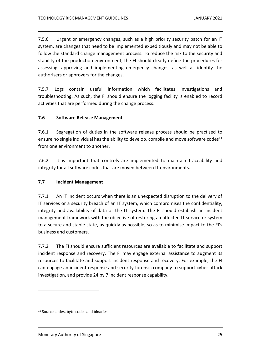7.5.6 Urgent or emergency changes, such as a high priority security patch for an IT system, are changes that need to be implemented expeditiously and may not be able to follow the standard change management process. To reduce the risk to the security and stability of the production environment, the FI should clearly define the procedures for assessing, approving and implementing emergency changes, as well as identify the authorisers or approvers for the changes.

7.5.7 Logs contain useful information which facilitates investigations and troubleshooting. As such, the FI should ensure the logging facility is enabled to record activities that are performed during the change process.

### <span id="page-24-0"></span>**7.6 Software Release Management**

7.6.1 Segregation of duties in the software release process should be practised to ensure no single individual has the ability to develop, compile and move software codes<sup>11</sup> from one environment to another.

7.6.2 It is important that controls are implemented to maintain traceability and integrity for all software codes that are moved between IT environments.

### <span id="page-24-1"></span>**7.7 Incident Management**

7.7.1 An IT incident occurs when there is an unexpected disruption to the delivery of IT services or a security breach of an IT system, which compromises the confidentiality, integrity and availability of data or the IT system. The FI should establish an incident management framework with the objective of restoring an affected IT service or system to a secure and stable state, as quickly as possible, so as to minimise impact to the FI's business and customers.

7.7.2 The FI should ensure sufficient resources are available to facilitate and support incident response and recovery. The FI may engage external assistance to augment its resources to facilitate and support incident response and recovery. For example, the FI can engage an incident response and security forensic company to support cyber attack investigation, and provide 24 by 7 incident response capability.

<sup>&</sup>lt;sup>11</sup> Source codes, byte codes and binaries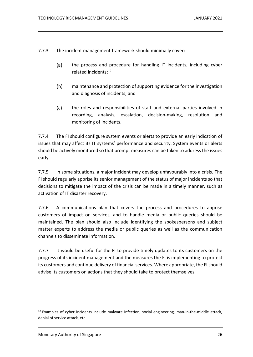7.7.3 The incident management framework should minimally cover:

- $(a)$ the process and procedure for handling IT incidents, including cyber related incidents; 12
- $(b)$ maintenance and protection of supporting evidence for the investigation and diagnosis of incidents; and
- $(c)$ the roles and responsibilities of staff and external parties involved in recording, analysis, escalation, decision-making, resolution and monitoring of incidents.

7.7.4 The FI should configure system events or alerts to provide an early indication of issues that may affect its IT systems' performance and security. System events or alerts should be actively monitored so that prompt measures can be taken to address the issues early.

7.7.5 In some situations, a major incident may develop unfavourably into a crisis. The FI should regularly apprise its senior management of the status of major incidents so that decisions to mitigate the impact of the crisis can be made in a timely manner, such as activation of IT disaster recovery.

7.7.6 A communications plan that covers the process and procedures to apprise customers of impact on services, and to handle media or public queries should be maintained. The plan should also include identifying the spokespersons and subject matter experts to address the media or public queries as well as the communication channels to disseminate information.

7.7.7 It would be useful for the FI to provide timely updates to its customers on the progress of its incident management and the measures the FI is implementing to protect its customers and continue delivery of financial services. Where appropriate, the FI should advise its customers on actions that they should take to protect themselves.

 $12$  Examples of cyber incidents include malware infection, social engineering, man-in-the-middle attack, denial of service attack, etc.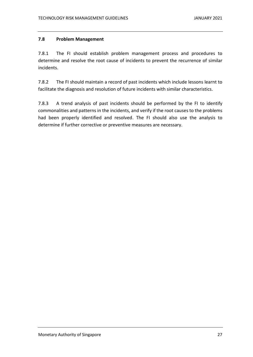### <span id="page-26-0"></span>**7.8 Problem Management**

7.8.1 The FI should establish problem management process and procedures to determine and resolve the root cause of incidents to prevent the recurrence of similar incidents.

7.8.2 The FI should maintain a record of past incidents which include lessons learnt to facilitate the diagnosis and resolution of future incidents with similar characteristics.

7.8.3 A trend analysis of past incidents should be performed by the FI to identify commonalities and patterns in the incidents, and verify if the root causes to the problems had been properly identified and resolved. The FI should also use the analysis to determine if further corrective or preventive measures are necessary.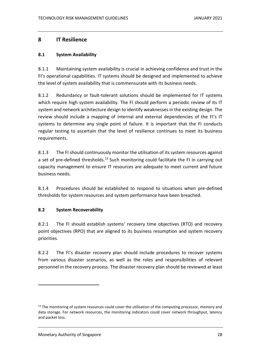# <span id="page-27-0"></span>**8 IT Resilience**

### <span id="page-27-1"></span>**8.1 System Availability**

8.1.1 Maintaining system availability is crucial in achieving confidence and trust in the FI's operational capabilities. IT systems should be designed and implemented to achieve the level of system availability that is commensurate with its business needs.

8.1.2 Redundancy or fault-tolerant solutions should be implemented for IT systems which require high system availability. The FI should perform a periodic review of its IT system and network architecture design to identify weaknesses in the existing design. The review should include a mapping of internal and external dependencies of the FI's IT systems to determine any single point of failure. It is important that the FI conducts regular testing to ascertain that the level of resilience continues to meet its business requirements.

8.1.3 The FI should continuously monitor the utilisation of its system resources against a set of pre-defined thresholds.<sup>13</sup> Such monitoring could facilitate the FI in carrying out capacity management to ensure IT resources are adequate to meet current and future business needs.

8.1.4 Procedures should be established to respond to situations when pre-defined thresholds for system resources and system performance have been breached.

### <span id="page-27-2"></span>**8.2 System Recoverability**

8.2.1 The FI should establish systems' recovery time objectives (RTO) and recovery point objectives (RPO) that are aligned to its business resumption and system recovery priorities.

8.2.2 The FI's disaster recovery plan should include procedures to recover systems from various disaster scenarios, as well as the roles and responsibilities of relevant personnel in the recovery process. The disaster recovery plan should be reviewed at least

 $13$  The monitoring of system resources could cover the utilisation of the computing processor, memory and data storage. For network resources, the monitoring indicators could cover network throughput, latency and packet loss.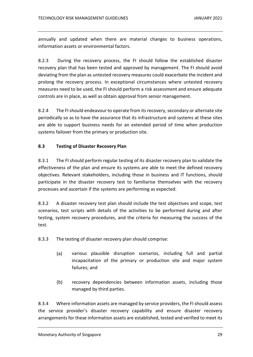annually and updated when there are material changes to business operations, information assets or environmental factors.

8.2.3 During the recovery process, the FI should follow the established disaster recovery plan that has been tested and approved by management. The FI should avoid deviating from the plan as untested recovery measures could exacerbate the incident and prolong the recovery process. In exceptional circumstances where untested recovery measures need to be used, the FI should perform a risk assessment and ensure adequate controls are in place, as well as obtain approval from senior management.

8.2.4 The FI should endeavour to operate from its recovery, secondary or alternate site periodically so as to have the assurance that its infrastructure and systems at these sites are able to support business needs for an extended period of time when production systems failover from the primary or production site.

### <span id="page-28-0"></span>**8.3 Testing of Disaster Recovery Plan**

8.3.1 The FI should perform regular testing of its disaster recovery plan to validate the effectiveness of the plan and ensure its systems are able to meet the defined recovery objectives. Relevant stakeholders, including those in business and IT functions, should participate in the disaster recovery test to familiarise themselves with the recovery processes and ascertain if the systems are performing as expected.

8.3.2 A disaster recovery test plan should include the test objectives and scope, test scenarios, test scripts with details of the activities to be performed during and after testing, system recovery procedures, and the criteria for measuring the success of the test.

8.3.3 The testing of disaster recovery plan should comprise:

- $(a)$ various plausible disruption scenarios, including full and partial incapacitation of the primary or production site and major system failures; and
- $(b)$ recovery dependencies between information assets, including those managed by third parties.

8.3.4 Where information assets are managed by service providers, the FI should assess the service provider's disaster recovery capability and ensure disaster recovery arrangements for these information assets are established, tested and verified to meet its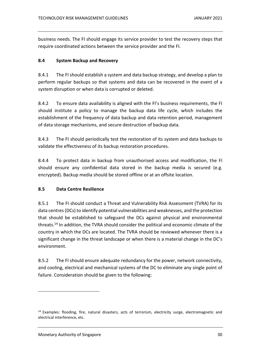business needs. The FI should engage its service provider to test the recovery steps that require coordinated actions between the service provider and the FI.

### <span id="page-29-0"></span>**8.4 System Backup and Recovery**

8.4.1 The FI should establish a system and data backup strategy, and develop a plan to perform regular backups so that systems and data can be recovered in the event of a system disruption or when data is corrupted or deleted.

8.4.2 To ensure data availability is aligned with the FI's business requirements, the FI should institute a policy to manage the backup data life cycle, which includes the establishment of the frequency of data backup and data retention period, management of data storage mechanisms, and secure destruction of backup data.

8.4.3 The FI should periodically test the restoration of its system and data backups to validate the effectiveness of its backup restoration procedures.

8.4.4 To protect data in backup from unauthorised access and modification, the FI should ensure any confidential data stored in the backup media is secured (e.g. encrypted). Backup media should be stored offline or at an offsite location.

### <span id="page-29-1"></span>**8.5 Data Centre Resilience**

8.5.1 The FI should conduct a Threat and Vulnerability Risk Assessment (TVRA) for its data centres(DCs) to identify potential vulnerabilities and weaknesses, and the protection that should be established to safeguard the DCs against physical and environmental threats. <sup>14</sup> In addition, the TVRA should consider the political and economic climate of the country in which the DCs are located. The TVRA should be reviewed whenever there is a significant change in the threat landscape or when there is a material change in the DC's environment.

8.5.2 The FI should ensure adequate redundancy for the power, network connectivity, and cooling, electrical and mechanical systems of the DC to eliminate any single point of failure. Consideration should be given to the following:

<sup>&</sup>lt;sup>14</sup> Examples: flooding, fire, natural disasters, acts of terrorism, electricity surge, electromagnetic and electrical interference, etc.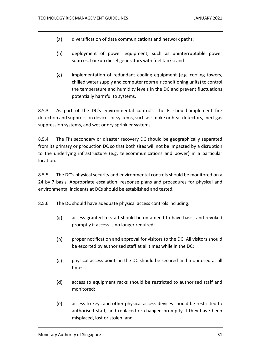- $(a)$ diversification of data communications and network paths;
- $(b)$ deployment of power equipment, such as uninterruptable power sources, backup diesel generators with fuel tanks; and
- $(c)$ implementation of redundant cooling equipment (e.g. cooling towers, chilled water supply and computer room air conditioning units) to control the temperature and humidity levels in the DC and prevent fluctuations potentially harmful to systems.

8.5.3 As part of the DC's environmental controls, the FI should implement fire detection and suppression devices or systems, such as smoke or heat detectors, inert gas suppression systems, and wet or dry sprinkler systems.

8.5.4 The FI's secondary or disaster recovery DC should be geographically separated from its primary or production DC so that both sites will not be impacted by a disruption to the underlying infrastructure (e.g. telecommunications and power) in a particular location.

8.5.5 The DC's physical security and environmental controls should be monitored on a 24 by 7 basis. Appropriate escalation, response plans and procedures for physical and environmental incidents at DCs should be established and tested.

8.5.6 The DC should have adequate physical access controls including:

- $(a)$ access granted to staff should be on a need-to-have basis, and revoked promptly if access is no longer required;
- $(b)$ proper notification and approval for visitors to the DC. All visitors should be escorted by authorised staff at all times while in the DC;
- $(c)$ physical access points in the DC should be secured and monitored at all times;
- access to equipment racks should be restricted to authorised staff and  $(d)$ monitored;
- $(e)$ access to keys and other physical access devices should be restricted to authorised staff, and replaced or changed promptly if they have been misplaced, lost or stolen; and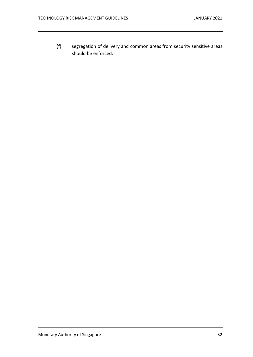$(f)$ segregation of delivery and common areas from security sensitive areas should be enforced.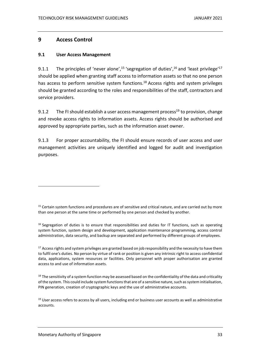# <span id="page-32-0"></span>**9 Access Control**

### <span id="page-32-1"></span>**9.1 User Access Management**

9.1.1 The principles of 'never alone',<sup>15</sup> 'segregation of duties',<sup>16</sup> and 'least privilege'<sup>17</sup> should be applied when granting staff access to information assets so that no one person has access to perform sensitive system functions.<sup>18</sup> Access rights and system privileges should be granted according to the roles and responsibilities of the staff, contractors and service providers.

9.1.2 The FI should establish a user access management process<sup>19</sup> to provision, change and revoke access rights to information assets. Access rights should be authorised and approved by appropriate parties, such as the information asset owner.

9.1.3 For proper accountability, the FI should ensure records of user access and user management activities are uniquely identified and logged for audit and investigation purposes.

<sup>&</sup>lt;sup>15</sup> Certain system functions and procedures are of sensitive and critical nature, and are carried out by more than one person at the same time or performed by one person and checked by another.

 $16$  Segregation of duties is to ensure that responsibilities and duties for IT functions, such as operating system function, system design and development, application maintenance programming, access control administration, data security, and backup are separated and performed by different groups of employees.

 $17$  Access rights and system privileges are granted based on job responsibility and the necessity to have them to fulfil one's duties. No person by virtue of rank or position is given any intrinsic right to access confidential data, applications, system resources or facilities. Only personnel with proper authorisation are granted access to and use of information assets.

 $18$  The sensitivity of a system function may be assessed based on the confidentiality of the data and criticality of the system. This could include system functions that are of a sensitive nature, such as system initialisation, PIN generation, creation of cryptographic keys and the use of administrative accounts.

<sup>&</sup>lt;sup>19</sup> User access refers to access by all users, including end or business user accounts as well as administrative accounts.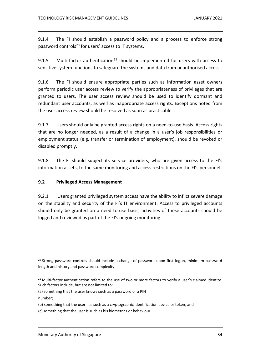9.1.4 The FI should establish a password policy and a process to enforce strong password controls<sup>20</sup> for users' access to IT systems.

9.1.5 Multi-factor authentication<sup>21</sup> should be implemented for users with access to sensitive system functions to safeguard the systems and data from unauthorised access.

9.1.6 The FI should ensure appropriate parties such as information asset owners perform periodic user access review to verify the appropriateness of privileges that are granted to users. The user access review should be used to identify dormant and redundant user accounts, as well as inappropriate access rights. Exceptions noted from the user access review should be resolved as soon as practicable.

9.1.7 Users should only be granted access rights on a need-to-use basis. Access rights that are no longer needed, as a result of a change in a user's job responsibilities or employment status (e.g. transfer or termination of employment), should be revoked or disabled promptly.

9.1.8 The FI should subject its service providers, who are given access to the FI's information assets, to the same monitoring and access restrictions on the FI's personnel.

### <span id="page-33-0"></span>**9.2 Privileged Access Management**

9.2.1 Users granted privileged system access have the ability to inflict severe damage on the stability and security of the FI's IT environment. Access to privileged accounts should only be granted on a need-to-use basis; activities of these accounts should be logged and reviewed as part of the FI's ongoing monitoring.

- (a) something that the user knows such as a password or a PIN number;
- (b) something that the user has such as a cryptographic identification device or token; and
- (c) something that the user is such as his biometrics or behaviour.

<sup>&</sup>lt;sup>20</sup> Strong password controls should include a change of password upon first logon, minimum password length and history and password complexity.

 $21$  Multi-factor authentication refers to the use of two or more factors to verify a user's claimed identity. Such factors include, but are not limited to: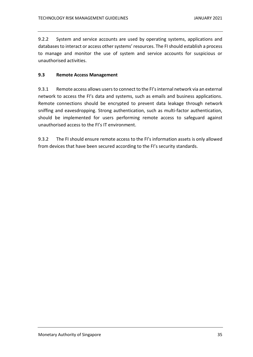9.2.2 System and service accounts are used by operating systems, applications and databasesto interact or access other systems' resources. The FI should establish a process to manage and monitor the use of system and service accounts for suspicious or unauthorised activities.

### <span id="page-34-0"></span>**9.3 Remote Access Management**

9.3.1 Remote access allows users to connect to the FI's internal network via an external network to access the FI's data and systems, such as emails and business applications. Remote connections should be encrypted to prevent data leakage through network sniffing and eavesdropping. Strong authentication, such as multi-factor authentication, should be implemented for users performing remote access to safeguard against unauthorised access to the FI's IT environment.

9.3.2 The FI should ensure remote access to the FI's information assets is only allowed from devices that have been secured according to the FI's security standards.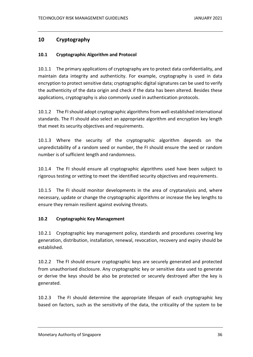# <span id="page-35-0"></span>**10 Cryptography**

### <span id="page-35-1"></span>**10.1 Cryptographic Algorithm and Protocol**

10.1.1 The primary applications of cryptography are to protect data confidentiality, and maintain data integrity and authenticity. For example, cryptography is used in data encryption to protect sensitive data; cryptographic digital signatures can be used to verify the authenticity of the data origin and check if the data has been altered. Besides these applications, cryptography is also commonly used in authentication protocols.

10.1.2 The FI should adopt cryptographic algorithms from well-established international standards. The FI should also select an appropriate algorithm and encryption key length that meet its security objectives and requirements.

10.1.3 Where the security of the cryptographic algorithm depends on the unpredictability of a random seed or number, the FI should ensure the seed or random number is of sufficient length and randomness.

10.1.4 The FI should ensure all cryptographic algorithms used have been subject to rigorous testing or vetting to meet the identified security objectives and requirements.

10.1.5 The FI should monitor developments in the area of cryptanalysis and, where necessary, update or change the cryptographic algorithms or increase the key lengths to ensure they remain resilient against evolving threats.

### <span id="page-35-2"></span>**10.2 Cryptographic Key Management**

10.2.1 Cryptographic key management policy, standards and procedures covering key generation, distribution, installation, renewal, revocation, recovery and expiry should be established.

10.2.2 The FI should ensure cryptographic keys are securely generated and protected from unauthorised disclosure. Any cryptographic key or sensitive data used to generate or derive the keys should be also be protected or securely destroyed after the key is generated.

10.2.3 The FI should determine the appropriate lifespan of each cryptographic key based on factors, such as the sensitivity of the data, the criticality of the system to be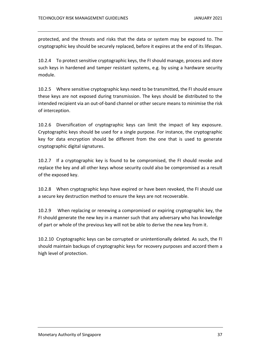protected, and the threats and risks that the data or system may be exposed to. The cryptographic key should be securely replaced, before it expires at the end of its lifespan.

10.2.4 To protect sensitive cryptographic keys, the FI should manage, process and store such keys in hardened and tamper resistant systems, e.g. by using a hardware security module.

10.2.5 Where sensitive cryptographic keys need to be transmitted, the FI should ensure these keys are not exposed during transmission. The keys should be distributed to the intended recipient via an out-of-band channel or other secure means to minimise the risk of interception.

10.2.6 Diversification of cryptographic keys can limit the impact of key exposure. Cryptographic keys should be used for a single purpose. For instance, the cryptographic key for data encryption should be different from the one that is used to generate cryptographic digital signatures.

10.2.7 If a cryptographic key is found to be compromised, the FI should revoke and replace the key and all other keys whose security could also be compromised as a result of the exposed key.

10.2.8 When cryptographic keys have expired or have been revoked, the FI should use a secure key destruction method to ensure the keys are not recoverable.

10.2.9 When replacing or renewing a compromised or expiring cryptographic key, the FI should generate the new key in a manner such that any adversary who has knowledge of part or whole of the previous key will not be able to derive the new key from it.

10.2.10 Cryptographic keys can be corrupted or unintentionally deleted. As such, the FI should maintain backups of cryptographic keys for recovery purposes and accord them a high level of protection.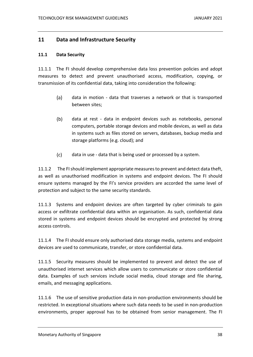# <span id="page-37-0"></span>**11 Data and Infrastructure Security**

### <span id="page-37-1"></span>**11.1 Data Security**

11.1.1 The FI should develop comprehensive data loss prevention policies and adopt measures to detect and prevent unauthorised access, modification, copying, or transmission of its confidential data, taking into consideration the following:

- $(a)$ data in motion - data that traverses a network or that is transported between sites;
- $(b)$ data at rest - data in endpoint devices such as notebooks, personal computers, portable storage devices and mobile devices, as well as data in systems such as files stored on servers, databases, backup media and storage platforms (e.g. cloud); and
- $(c)$ data in use - data that is being used or processed by a system.

11.1.2 The FIshould implement appropriate measures to prevent and detect data theft, as well as unauthorised modification in systems and endpoint devices. The FI should ensure systems managed by the FI's service providers are accorded the same level of protection and subject to the same security standards.

11.1.3 Systems and endpoint devices are often targeted by cyber criminals to gain access or exfiltrate confidential data within an organisation. As such, confidential data stored in systems and endpoint devices should be encrypted and protected by strong access controls.

11.1.4 The FI should ensure only authorised data storage media, systems and endpoint devices are used to communicate, transfer, or store confidential data.

11.1.5 Security measures should be implemented to prevent and detect the use of unauthorised internet services which allow users to communicate or store confidential data. Examples of such services include social media, cloud storage and file sharing, emails, and messaging applications.

11.1.6 The use of sensitive production data in non-production environments should be restricted. In exceptional situations where such data needs to be used in non-production environments, proper approval has to be obtained from senior management. The FI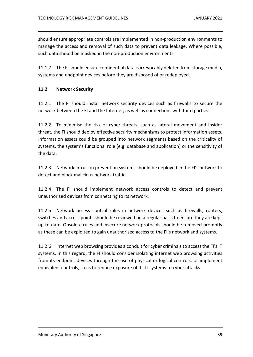should ensure appropriate controls are implemented in non-production environments to manage the access and removal of such data to prevent data leakage. Where possible, such data should be masked in the non-production environments.

11.1.7 The FI should ensure confidential data is irrevocably deleted from storage media, systems and endpoint devices before they are disposed of or redeployed.

### <span id="page-38-0"></span>**11.2 Network Security**

11.2.1 The FI should install network security devices such as firewalls to secure the network between the FI and the Internet, as well as connections with third parties.

11.2.2 To minimise the risk of cyber threats, such as lateral movement and insider threat, the FI should deploy effective security mechanisms to protect information assets. Information assets could be grouped into network segments based on the criticality of systems, the system's functional role (e.g. database and application) or the sensitivity of the data.

11.2.3 Network intrusion prevention systems should be deployed in the FI's network to detect and block malicious network traffic.

11.2.4 The FI should implement network access controls to detect and prevent unauthorised devices from connecting to its network.

11.2.5 Network access control rules in network devices such as firewalls, routers, switches and access points should be reviewed on a regular basis to ensure they are kept up-to-date. Obsolete rules and insecure network protocols should be removed promptly as these can be exploited to gain unauthorised access to the FI's network and systems.

11.2.6 Internet web browsing provides a conduit for cyber criminals to access the FI's IT systems. In this regard, the FI should consider isolating internet web browsing activities from its endpoint devices through the use of physical or logical controls, or implement equivalent controls, so as to reduce exposure of its IT systems to cyber attacks.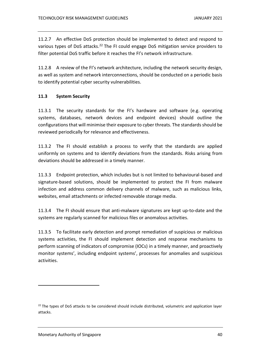11.2.7 An effective DoS protection should be implemented to detect and respond to various types of DoS attacks.<sup>22</sup> The FI could engage DoS mitigation service providers to filter potential DoS traffic before it reaches the FI's network infrastructure.

11.2.8 A review of the FI's network architecture, including the network security design, as well as system and network interconnections, should be conducted on a periodic basis to identify potential cyber security vulnerabilities.

### <span id="page-39-0"></span>**11.3 System Security**

11.3.1 The security standards for the FI's hardware and software (e.g. operating systems, databases, network devices and endpoint devices) should outline the configurations that will minimise their exposure to cyber threats. The standards should be reviewed periodically for relevance and effectiveness.

11.3.2 The FI should establish a process to verify that the standards are applied uniformly on systems and to identify deviations from the standards. Risks arising from deviations should be addressed in a timely manner.

11.3.3 Endpoint protection, which includes but is not limited to behavioural-based and signature-based solutions, should be implemented to protect the FI from malware infection and address common delivery channels of malware, such as malicious links, websites, email attachments or infected removable storage media.

11.3.4 The FI should ensure that anti-malware signatures are kept up-to-date and the systems are regularly scanned for malicious files or anomalous activities.

11.3.5 To facilitate early detection and prompt remediation of suspicious or malicious systems activities, the FI should implement detection and response mechanisms to perform scanning of indicators of compromise (IOCs) in a timely manner, and proactively monitor systems', including endpoint systems', processes for anomalies and suspicious activities.

<sup>&</sup>lt;sup>22</sup> The types of DoS attacks to be considered should include distributed, volumetric and application layer attacks.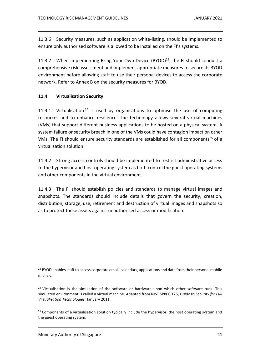11.3.6 Security measures, such as application white-listing, should be implemented to ensure only authorised software is allowed to be installed on the FI's systems.

11.3.7 When implementing Bring Your Own Device (BYOD) $^{23}$ , the FI should conduct a comprehensive risk assessment and implement appropriate measures to secure its BYOD environment before allowing staff to use their personal devices to access the corporate network. Refer to Annex B on the security measures for BYOD.

### <span id="page-40-0"></span>**11.4 Virtualisation Security**

11.4.1 Virtualisation<sup>24</sup> is used by organisations to optimise the use of computing resources and to enhance resilience. The technology allows several virtual machines (VMs) that support different business applications to be hosted on a physical system. A system failure or security breach in one of the VMs could have contagion impact on other VMs. The FI should ensure security standards are established for all components<sup>25</sup> of a virtualisation solution.

11.4.2 Strong access controls should be implemented to restrict administrative access to the hypervisor and host operating system as both control the guest operating systems and other components in the virtual environment.

11.4.3 The FI should establish policies and standards to manage virtual images and snapshots. The standards should include details that govern the security, creation, distribution, storage, use, retirement and destruction of virtual images and snapshots so as to protect these assets against unauthorised access or modification.

<sup>&</sup>lt;sup>23</sup> BYOD enables staff to access corporate email, calendars, applications and data from their personal mobile devices.

 $24$  Virtualisation is the simulation of the software or hardware upon which other software runs. This simulated environment is called a virtual machine. Adapted from NIST SP800 125, *Guide to Security for Full Virtualisation Technologies,* January 2011.

 $25$  Components of a virtualisation solution typically include the hypervisor, the host operating system and the guest operating system.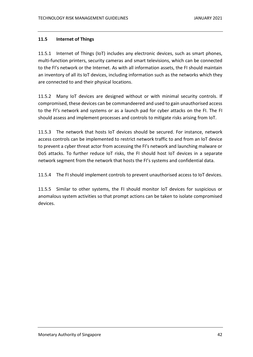### <span id="page-41-0"></span>**11.5 Internet of Things**

11.5.1 Internet of Things (IoT) includes any electronic devices, such as smart phones, multi-function printers, security cameras and smart televisions, which can be connected to the FI's network or the Internet. As with all information assets, the FI should maintain an inventory of all its IoT devices, including information such as the networks which they are connected to and their physical locations.

11.5.2 Many IoT devices are designed without or with minimal security controls. If compromised, these devices can be commandeered and used to gain unauthorised access to the FI's network and systems or as a launch pad for cyber attacks on the FI. The FI should assess and implement processes and controls to mitigate risks arising from IoT.

11.5.3 The network that hosts IoT devices should be secured. For instance, network access controls can be implemented to restrict network traffic to and from an IoT device to prevent a cyber threat actor from accessing the FI's network and launching malware or DoS attacks. To further reduce IoT risks, the FI should host IoT devices in a separate network segment from the network that hosts the FI's systems and confidential data.

11.5.4 The FI should implement controls to prevent unauthorised access to IoT devices.

11.5.5 Similar to other systems, the FI should monitor IoT devices for suspicious or anomalous system activities so that prompt actions can be taken to isolate compromised devices.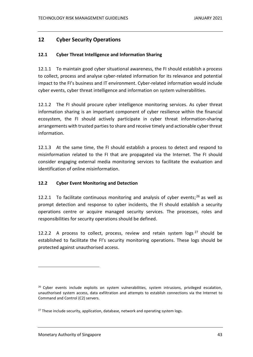# <span id="page-42-0"></span>**12 Cyber Security Operations**

### <span id="page-42-1"></span>**12.1 Cyber Threat Intelligence and Information Sharing**

12.1.1 To maintain good cyber situational awareness, the FI should establish a process to collect, process and analyse cyber-related information for its relevance and potential impact to the FI's business and IT environment. Cyber-related information would include cyber events, cyber threat intelligence and information on system vulnerabilities.

12.1.2 The FI should procure cyber intelligence monitoring services. As cyber threat information sharing is an important component of cyber resilience within the financial ecosystem, the FI should actively participate in cyber threat information-sharing arrangements with trusted parties to share and receive timely and actionable cyber threat information.

12.1.3 At the same time, the FI should establish a process to detect and respond to misinformation related to the FI that are propagated via the Internet. The FI should consider engaging external media monitoring services to facilitate the evaluation and identification of online misinformation.

### <span id="page-42-2"></span>**12.2 Cyber Event Monitoring and Detection**

12.2.1 To facilitate continuous monitoring and analysis of cyber events; $^{26}$  as well as prompt detection and response to cyber incidents, the FI should establish a security operations centre or acquire managed security services. The processes, roles and responsibilities for security operations should be defined.

12.2.2 A process to collect, process, review and retain system logs  $27$  should be established to facilitate the FI's security monitoring operations. These logs should be protected against unauthorised access.

 $26$  Cyber events include exploits on system vulnerabilities, system intrusions, privileged escalation, unauthorised system access, data exfiltration and attempts to establish connections via the Internet to Command and Control (C2) servers.

<sup>&</sup>lt;sup>27</sup> These include security, application, database, network and operating system logs.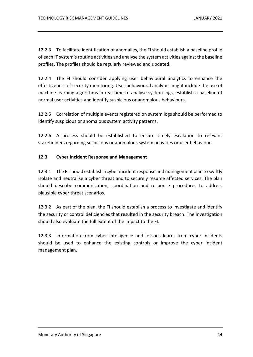12.2.3 To facilitate identification of anomalies, the FI should establish a baseline profile of each IT system's routine activities and analyse the system activities against the baseline profiles. The profiles should be regularly reviewed and updated.

12.2.4 The FI should consider applying user behavioural analytics to enhance the effectiveness of security monitoring. User behavioural analytics might include the use of machine learning algorithms in real time to analyse system logs, establish a baseline of normal user activities and identify suspicious or anomalous behaviours.

12.2.5 Correlation of multiple events registered on system logs should be performed to identify suspicious or anomalous system activity patterns.

12.2.6 A process should be established to ensure timely escalation to relevant stakeholders regarding suspicious or anomalous system activities or user behaviour.

### <span id="page-43-0"></span>**12.3 Cyber Incident Response and Management**

12.3.1 The FI should establish a cyber incident response and management plan to swiftly isolate and neutralise a cyber threat and to securely resume affected services. The plan should describe communication, coordination and response procedures to address plausible cyber threat scenarios.

12.3.2 As part of the plan, the FI should establish a process to investigate and identify the security or control deficiencies that resulted in the security breach. The investigation should also evaluate the full extent of the impact to the FI.

12.3.3 Information from cyber intelligence and lessons learnt from cyber incidents should be used to enhance the existing controls or improve the cyber incident management plan.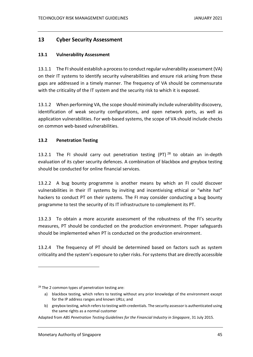# <span id="page-44-0"></span>**13 Cyber Security Assessment**

### <span id="page-44-1"></span>**13.1 Vulnerability Assessment**

13.1.1 The FI should establish a process to conduct regular vulnerability assessment (VA) on their IT systems to identify security vulnerabilities and ensure risk arising from these gaps are addressed in a timely manner. The frequency of VA should be commensurate with the criticality of the IT system and the security risk to which it is exposed.

13.1.2 When performing VA, the scope should minimally include vulnerability discovery, identification of weak security configurations, and open network ports, as well as application vulnerabilities. For web-based systems, the scope of VA should include checks on common web-based vulnerabilities.

### <span id="page-44-2"></span>**13.2 Penetration Testing**

13.2.1 The FI should carry out penetration testing (PT)  $^{28}$  to obtain an in-depth evaluation of its cyber security defences. A combination of blackbox and greybox testing should be conducted for online financial services.

13.2.2 A bug bounty programme is another means by which an FI could discover vulnerabilities in their IT systems by inviting and incentivising ethical or "white hat" hackers to conduct PT on their systems. The FI may consider conducting a bug bounty programme to test the security of its IT infrastructure to complement its PT.

13.2.3 To obtain a more accurate assessment of the robustness of the FI's security measures, PT should be conducted on the production environment. Proper safeguards should be implemented when PT is conducted on the production environment.

13.2.4 The frequency of PT should be determined based on factors such as system criticality and the system's exposure to cyber risks. For systems that are directly accessible

 $28$  The 2 common types of penetration testing are:

a) blackbox testing, which refers to testing without any prior knowledge of the environment except for the IP address ranges and known URLs; and

b) greybox testing, which refers to testing with credentials. The security assessor is authenticated using the same rights as a normal customer

Adapted from *ABS Penetration Testing Guidelines for the Financial Industry in Singapore*, 31 July 2015.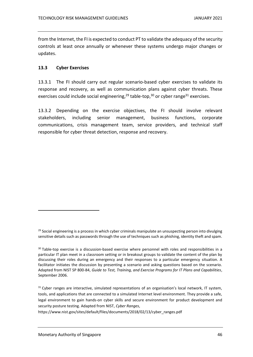from the Internet, the FI is expected to conduct PT to validate the adequacy of the security controls at least once annually or whenever these systems undergo major changes or updates.

### <span id="page-45-0"></span>**13.3 Cyber Exercises**

13.3.1 The FI should carry out regular scenario-based cyber exercises to validate its response and recovery, as well as communication plans against cyber threats. These exercises could include social engineering,<sup>29</sup> table-top,<sup>30</sup> or cyber range<sup>31</sup> exercises.

13.3.2 Depending on the exercise objectives, the FI should involve relevant stakeholders, including senior management, business functions, corporate communications, crisis management team, service providers, and technical staff responsible for cyber threat detection, response and recovery.

<sup>31</sup> Cyber ranges are interactive, simulated representations of an organisation's local network, IT system, tools, and applications that are connected to a simulated Internet level environment. They provide a safe, legal environment to gain hands-on cyber skills and secure environment for product development and security posture testing. Adapted from NIST, *Cyber Ranges*,

https://www.nist.gov/sites/default/files/documents/2018/02/13/cyber\_ranges.pdf

 $29$  Social engineering is a process in which cyber criminals manipulate an unsuspecting person into divulging sensitive details such as passwords through the use of techniques such as phishing, identity theft and spam.

<sup>&</sup>lt;sup>30</sup> Table-top exercise is a discussion-based exercise where personnel with roles and responsibilities in a particular IT plan meet in a classroom setting or in breakout groups to validate the content of the plan by discussing their roles during an emergency and their responses to a particular emergency situation. A facilitator initiates the discussion by presenting a scenario and asking questions based on the scenario. Adapted from NIST SP 800-84, *Guide to Test, Training, and Exercise Programs for IT Plans and Capabilities*, September 2006.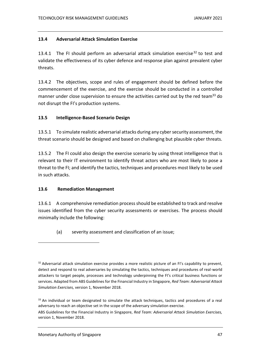### <span id="page-46-0"></span>**13.4 Adversarial Attack Simulation Exercise**

13.4.1 The FI should perform an adversarial attack simulation exercise<sup>32</sup> to test and validate the effectiveness of its cyber defence and response plan against prevalent cyber threats.

13.4.2 The objectives, scope and rules of engagement should be defined before the commencement of the exercise, and the exercise should be conducted in a controlled manner under close supervision to ensure the activities carried out by the red team<sup>33</sup> do not disrupt the FI's production systems.

### <span id="page-46-1"></span>**13.5 Intelligence-Based Scenario Design**

13.5.1 To simulate realistic adversarial attacks during any cyber security assessment, the threat scenario should be designed and based on challenging but plausible cyber threats.

13.5.2 The FI could also design the exercise scenario by using threat intelligence that is relevant to their IT environment to identify threat actors who are most likely to pose a threat to the FI; and identify the tactics, techniques and procedures most likely to be used in such attacks.

### <span id="page-46-2"></span>**13.6 Remediation Management**

13.6.1 A comprehensive remediation processshould be established to track and resolve issues identified from the cyber security assessments or exercises. The process should minimally include the following:

(a) severity assessment and classification of an issue;

<sup>&</sup>lt;sup>32</sup> Adversarial attack simulation exercise provides a more realistic picture of an FI's capability to prevent, detect and respond to real adversaries by simulating the tactics, techniques and procedures of real-world attackers to target people, processes and technology underpinning the FI's critical business functions or services. Adapted from ABS Guidelines for the Financial Industry in Singapore, *Red Team: Adversarial Attack Simulation Exercises,* version 1, November 2018.

<sup>&</sup>lt;sup>33</sup> An individual or team designated to simulate the attack techniques, tactics and procedures of a real adversary to reach an objective set in the scope of the adversary simulation exercise. ABS Guidelines for the Financial Industry in Singapore, *Red Team: Adversarial Attack Simulation Exercises,*  version 1, November 2018.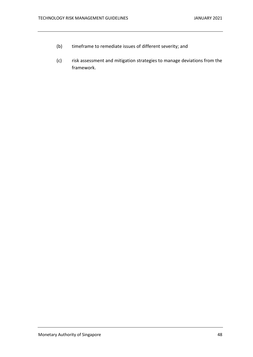- (b) timeframe to remediate issues of different severity; and
- (c) risk assessment and mitigation strategies to manage deviations from the framework.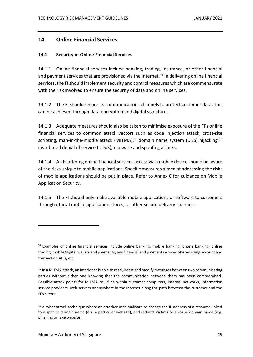# <span id="page-48-0"></span>**14 Online Financial Services**

### <span id="page-48-1"></span>**14.1 Security of Online Financial Services**

14.1.1 Online financial services include banking, trading, insurance, or other financial and payment services that are provisioned via the Internet.<sup>34</sup> In delivering online financial services, the FI should implement security and control measures which are commensurate with the risk involved to ensure the security of data and online services.

14.1.2 The FI should secure its communications channels to protect customer data. This can be achieved through data encryption and digital signatures.

14.1.3 Adequate measures should also be taken to minimise exposure of the FI's online financial services to common attack vectors such as code injection attack, cross-site scripting, man-in-the-middle attack (MITMA),<sup>35</sup> domain name system (DNS) hijacking,<sup>36</sup> distributed denial of service (DDoS), malware and spoofing attacks.

14.1.4 An FI offering online financial services access via a mobile device should be aware of the risks unique to mobile applications. Specific measures aimed at addressing the risks of mobile applications should be put in place. Refer to Annex C for guidance on Mobile Application Security.

14.1.5 The FI should only make available mobile applications or software to customers through official mobile application stores, or other secure delivery channels.

<sup>&</sup>lt;sup>34</sup> Examples of online financial services include online banking, mobile banking, phone banking, online trading, mobile/digital wallets and payments, and financial and payment services offered using account and transaction APIs, etc.

<sup>&</sup>lt;sup>35</sup> In a MITMA attack, an interloper is able to read, insert and modify messages between two communicating parties without either one knowing that the communication between them has been compromised. Possible attack points for MITMA could be within customer computers, internal networks, information service providers, web servers or anywhere in the Internet along the path between the customer and the FI's server.

<sup>&</sup>lt;sup>36</sup> A cyber attack technique where an attacker uses malware to change the IP address of a resource linked to a specific domain name (e.g. a particular website), and redirect victims to a rogue domain name (e.g. phishing or fake website).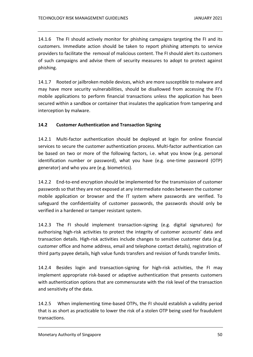14.1.6 The FI should actively monitor for phishing campaigns targeting the FI and its customers. Immediate action should be taken to report phishing attempts to service providers to facilitate the removal of malicious content. The FI should alert its customers of such campaigns and advise them of security measures to adopt to protect against phishing.

14.1.7 Rooted or jailbroken mobile devices, which are more susceptible to malware and may have more security vulnerabilities, should be disallowed from accessing the FI's mobile applications to perform financial transactions unless the application has been secured within a sandbox or container that insulates the application from tampering and interception by malware.

### <span id="page-49-0"></span>**14.2 Customer Authentication and Transaction Signing**

14.2.1 Multi-factor authentication should be deployed at login for online financial services to secure the customer authentication process. Multi-factor authentication can be based on two or more of the following factors, i.e. what you know (e.g. personal identification number or password), what you have (e.g. one-time password (OTP) generator) and who you are (e.g. biometrics).

14.2.2 End-to-end encryption should be implemented for the transmission of customer passwords so that they are not exposed at any intermediate nodes between the customer mobile application or browser and the IT system where passwords are verified. To safeguard the confidentiality of customer passwords, the passwords should only be verified in a hardened or tamper resistant system.

14.2.3 The FI should implement transaction-signing (e.g. digital signatures) for authorising high-risk activities to protect the integrity of customer accounts' data and transaction details. High-risk activities include changes to sensitive customer data (e.g. customer office and home address, email and telephone contact details), registration of third party payee details, high value funds transfers and revision of funds transfer limits.

14.2.4 Besides login and transaction-signing for high-risk activities, the FI may implement appropriate risk-based or adaptive authentication that presents customers with authentication options that are commensurate with the risk level of the transaction and sensitivity of the data.

14.2.5 When implementing time-based OTPs, the FI should establish a validity period that is as short as practicable to lower the risk of a stolen OTP being used for fraudulent transactions.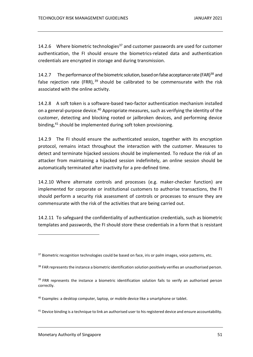14.2.6 Where biometric technologies<sup>37</sup> and customer passwords are used for customer authentication, the FI should ensure the biometrics-related data and authentication credentials are encrypted in storage and during transmission.

14.2.7 The performance of the biometric solution, based on false acceptance rate (FAR) $^{38}$  and false rejection rate (FRR),<sup>39</sup> should be calibrated to be commensurate with the risk associated with the online activity.

14.2.8 A soft token is a software-based two-factor authentication mechanism installed on a general-purpose device.<sup>40</sup> Appropriate measures, such as verifying the identity of the customer, detecting and blocking rooted or jailbroken devices, and performing device binding,<sup>41</sup> should be implemented during soft token provisioning.

14.2.9 The FI should ensure the authenticated session, together with its encryption protocol, remains intact throughout the interaction with the customer. Measures to detect and terminate hijacked sessions should be implemented. To reduce the risk of an attacker from maintaining a hijacked session indefinitely, an online session should be automatically terminated after inactivity for a pre-defined time.

14.2.10 Where alternate controls and processes (e.g. maker-checker function) are implemented for corporate or institutional customers to authorise transactions, the FI should perform a security risk assessment of controls or processes to ensure they are commensurate with the risk of the activities that are being carried out.

14.2.11 To safeguard the confidentiality of authentication credentials, such as biometric templates and passwords, the FI should store these credentials in a form that is resistant

<sup>&</sup>lt;sup>37</sup> Biometric recognition technologies could be based on face, iris or palm images, voice patterns, etc.

<sup>&</sup>lt;sup>38</sup> FAR represents the instance a biometric identification solution positively verifies an unauthorised person.

<sup>&</sup>lt;sup>39</sup> FRR represents the instance a biometric identification solution fails to verify an authorised person correctly.

<sup>&</sup>lt;sup>40</sup> Examples: a desktop computer, laptop, or mobile device like a smartphone or tablet.

<sup>&</sup>lt;sup>41</sup> Device binding is a technique to link an authorised user to his registered device and ensure accountability.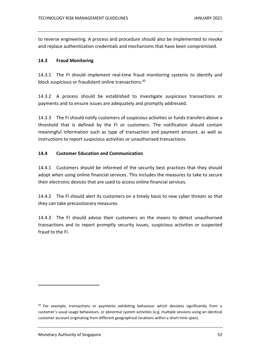to reverse engineering. A process and procedure should also be implemented to revoke and replace authentication credentials and mechanisms that have been compromised.

### <span id="page-51-0"></span>**14.3 Fraud Monitoring**

14.3.1 The FI should implement real-time fraud monitoring systems to identify and block suspicious or fraudulent online transactions. 42

14.3.2 A process should be established to investigate suspicious transactions or payments and to ensure issues are adequately and promptly addressed.

14.3.3 The FI should notify customers of suspicious activities or funds transfers above a threshold that is defined by the FI or customers. The notification should contain meaningful information such as type of transaction and payment amount, as well as instructions to report suspicious activities or unauthorised transactions.

### <span id="page-51-1"></span>**14.4 Customer Education and Communication**

14.4.1 Customers should be informed of the security best practices that they should adopt when using online financial services. This includes the measures to take to secure their electronic devices that are used to access online financial services.

14.4.2 The FI should alert its customers on a timely basis to new cyber threats so that they can take precautionary measures.

14.4.3 The FI should advise their customers on the means to detect unauthorised transactions and to report promptly security issues, suspicious activities or suspected fraud to the FI.

 $42$  For example, transactions or payments exhibiting behaviour which deviates significantly from a customer's usual usage behaviours, or abnormal system activities (e.g. multiple sessions using an identical customer account originating from different geographical locations within a short time span).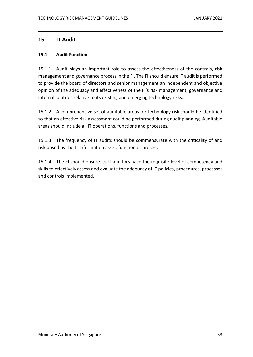# <span id="page-52-0"></span>**15 IT Audit**

### <span id="page-52-1"></span>**15.1 Audit Function**

15.1.1 Audit plays an important role to assess the effectiveness of the controls, risk management and governance process in the FI. The FI should ensure IT audit is performed to provide the board of directors and senior management an independent and objective opinion of the adequacy and effectiveness of the FI's risk management, governance and internal controls relative to its existing and emerging technology risks.

15.1.2 A comprehensive set of auditable areas for technology risk should be identified so that an effective risk assessment could be performed during audit planning. Auditable areas should include all IT operations, functions and processes.

15.1.3 The frequency of IT audits should be commensurate with the criticality of and risk posed by the IT information asset, function or process.

15.1.4 The FI should ensure its IT auditors have the requisite level of competency and skills to effectively assess and evaluate the adequacy of IT policies, procedures, processes and controls implemented.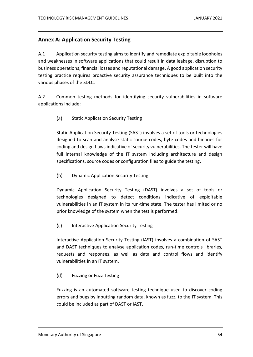# <span id="page-53-0"></span>**Annex A: Application Security Testing**

A.1 Application security testing aims to identify and remediate exploitable loopholes and weaknesses in software applications that could result in data leakage, disruption to business operations, financial losses and reputational damage. A good application security testing practice requires proactive security assurance techniques to be built into the various phases of the SDLC.

A.2 Common testing methods for identifying security vulnerabilities in software applications include:

 $(a)$ Static Application Security Testing

Static Application Security Testing (SAST) involves a set of tools or technologies designed to scan and analyse static source codes, byte codes and binaries for coding and design flaws indicative of security vulnerabilities. The tester will have full internal knowledge of the IT system including architecture and design specifications, source codes or configuration files to guide the testing.

 $(b)$ Dynamic Application Security Testing

Dynamic Application Security Testing (DAST) involves a set of tools or technologies designed to detect conditions indicative of exploitable vulnerabilities in an IT system in its run-time state. The tester has limited or no prior knowledge of the system when the test is performed.

 $(c)$ Interactive Application Security Testing

Interactive Application Security Testing (IAST) involves a combination of SAST and DAST techniques to analyse application codes, run-time controls libraries, requests and responses, as well as data and control flows and identify vulnerabilities in an IT system.

 $(d)$ Fuzzing or Fuzz Testing

Fuzzing is an automated software testing technique used to discover coding errors and bugs by inputting random data, known as fuzz, to the IT system. This could be included as part of DAST or IAST.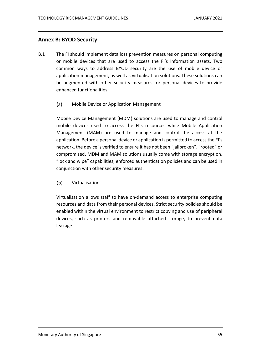## <span id="page-54-0"></span>**Annex B: BYOD Security**

- B.1 The FI should implement data loss prevention measures on personal computing or mobile devices that are used to access the FI's information assets. Two common ways to address BYOD security are the use of mobile device or application management, as well as virtualisation solutions. These solutions can be augmented with other security measures for personal devices to provide enhanced functionalities:
	- $(a)$ Mobile Device or Application Management

Mobile Device Management (MDM) solutions are used to manage and control mobile devices used to access the FI's resources while Mobile Application Management (MAM) are used to manage and control the access at the application. Before a personal device or application is permitted to access the FI's network, the device is verified to ensure it has not been "jailbroken", "rooted" or compromised. MDM and MAM solutions usually come with storage encryption, "lock and wipe" capabilities, enforced authentication policies and can be used in conjunction with other security measures.

 $(b)$ Virtualisation

Virtualisation allows staff to have on-demand access to enterprise computing resources and data from their personal devices. Strict security policies should be enabled within the virtual environment to restrict copying and use of peripheral devices, such as printers and removable attached storage, to prevent data leakage.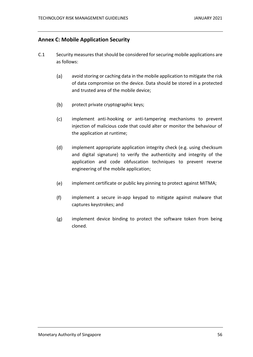# <span id="page-55-0"></span>**Annex C: Mobile Application Security**

- C.1 Security measures that should be considered for securing mobile applications are as follows:
	- $(a)$ avoid storing or caching data in the mobile application to mitigate the risk of data compromise on the device. Data should be stored in a protected and trusted area of the mobile device;
	- $(b)$ protect private cryptographic keys;
	- $(c)$ implement anti-hooking or anti-tampering mechanisms to prevent injection of malicious code that could alter or monitor the behaviour of the application at runtime;
	- $(d)$ implement appropriate application integrity check (e.g. using checksum and digital signature) to verify the authenticity and integrity of the application and code obfuscation techniques to prevent reverse engineering of the mobile application;
	- $(e)$ implement certificate or public key pinning to protect against MITMA;
	- $(f)$ implement a secure in-app keypad to mitigate against malware that captures keystrokes; and
	- $(g)$ implement device binding to protect the software token from being cloned.